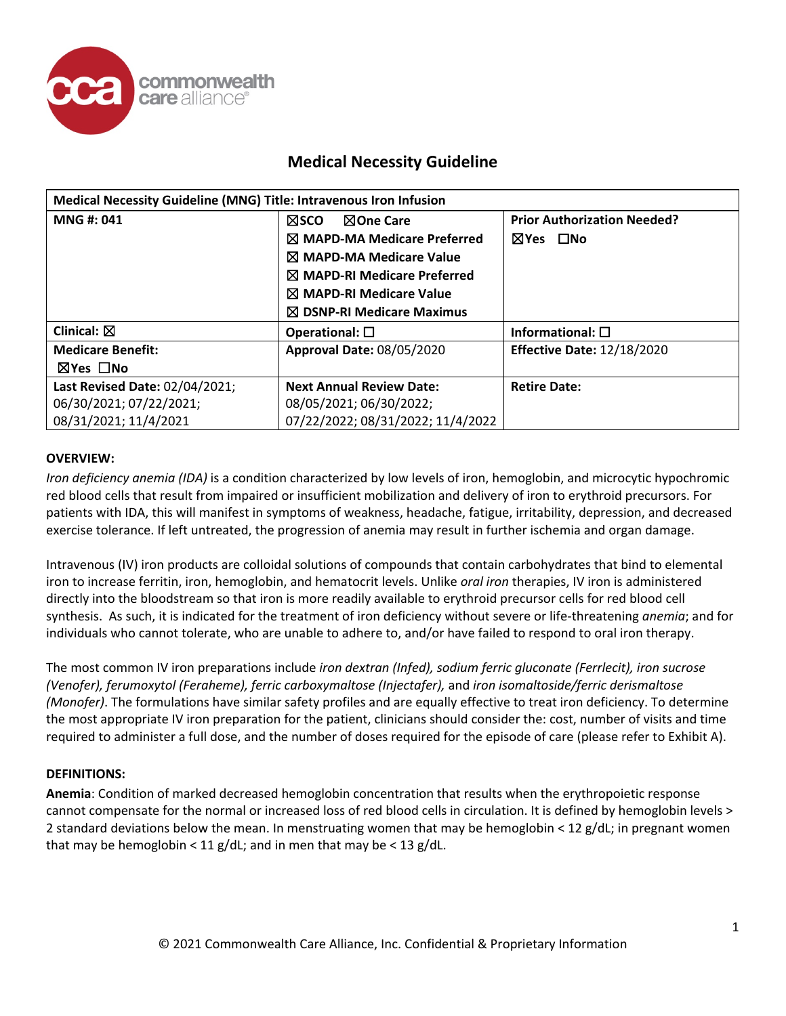

| Medical Necessity Guideline (MNG) Title: Intravenous Iron Infusion |                                        |                                    |
|--------------------------------------------------------------------|----------------------------------------|------------------------------------|
| MNG #: 041                                                         | <b>NSCO</b><br><b>NOne Care</b>        | <b>Prior Authorization Needed?</b> |
|                                                                    | $\boxtimes$ MAPD-MA Medicare Preferred | $\square$ No<br>$\boxtimes$ Yes    |
|                                                                    | $\boxtimes$ MAPD-MA Medicare Value     |                                    |
|                                                                    | $\boxtimes$ MAPD-RI Medicare Preferred |                                    |
|                                                                    | $\boxtimes$ MAPD-RI Medicare Value     |                                    |
|                                                                    | $\boxtimes$ DSNP-RI Medicare Maximus   |                                    |
| Clinical: $\boxtimes$                                              | Operational: $\square$                 | Informational: $\square$           |
| <b>Medicare Benefit:</b>                                           | <b>Approval Date: 08/05/2020</b>       | <b>Effective Date: 12/18/2020</b>  |
| ⊠Yes □No                                                           |                                        |                                    |
| Last Revised Date: 02/04/2021;                                     | <b>Next Annual Review Date:</b>        | <b>Retire Date:</b>                |
| 06/30/2021; 07/22/2021;                                            | 08/05/2021; 06/30/2022;                |                                    |
| 08/31/2021; 11/4/2021                                              | 07/22/2022; 08/31/2022; 11/4/2022      |                                    |

#### **OVERVIEW:**

*Iron deficiency anemia (IDA)* is a condition characterized by low levels of iron, hemoglobin, and microcytic hypochromic red blood cells that result from impaired or insufficient mobilization and delivery of iron to erythroid precursors. For patients with IDA, this will manifest in symptoms of weakness, headache, fatigue, irritability, depression, and decreased exercise tolerance. If left untreated, the progression of anemia may result in further ischemia and organ damage.

Intravenous (IV) iron products are colloidal solutions of compounds that contain carbohydrates that bind to elemental iron to increase ferritin, iron, hemoglobin, and hematocrit levels. Unlike *oral iron* therapies, IV iron is administered directly into the bloodstream so that iron is more readily available to erythroid precursor cells for red blood cell synthesis. As such, it is indicated for the treatment of iron deficiency without severe or life-threatening *anemia*; and for individuals who cannot tolerate, who are unable to adhere to, and/or have failed to respond to oral iron therapy.

The most common IV iron preparations include *iron dextran (Infed), sodium ferric gluconate (Ferrlecit), iron sucrose (Venofer), ferumoxytol (Feraheme), ferric carboxymaltose (Injectafer),* and *iron isomaltoside/ferric derismaltose (Monofer)*. The formulations have similar safety profiles and are equally effective to treat iron deficiency. To determine the most appropriate IV iron preparation for the patient, clinicians should consider the: cost, number of visits and time required to administer a full dose, and the number of doses required for the episode of care (please refer to Exhibit A).

#### **DEFINITIONS:**

**Anemia**: Condition of marked decreased hemoglobin concentration that results when the erythropoietic response cannot compensate for the normal or increased loss of red blood cells in circulation. It is defined by hemoglobin levels > 2 standard deviations below the mean. In menstruating women that may be hemoglobin < 12 g/dL; in pregnant women that may be hemoglobin < 11 g/dL; and in men that may be < 13 g/dL.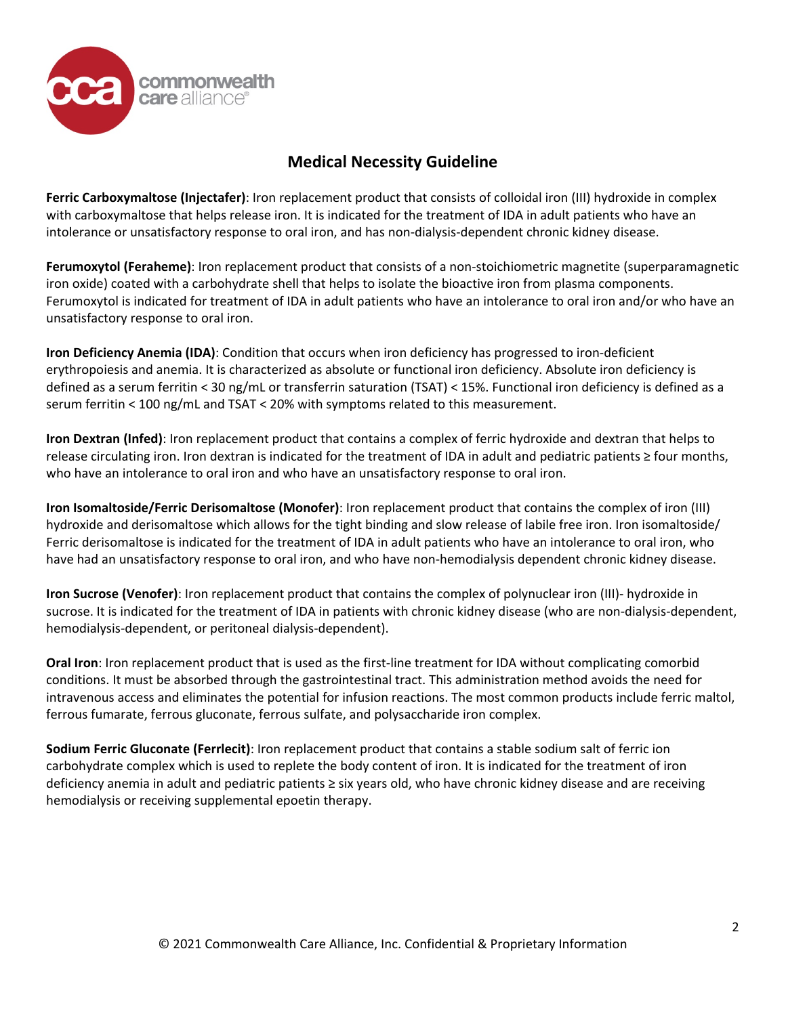

**Ferric Carboxymaltose (Injectafer)**: Iron replacement product that consists of colloidal iron (III) hydroxide in complex with carboxymaltose that helps release iron. It is indicated for the treatment of IDA in adult patients who have an intolerance or unsatisfactory response to oral iron, and has non-dialysis-dependent chronic kidney disease.

**Ferumoxytol (Feraheme)**: Iron replacement product that consists of a non-stoichiometric magnetite (superparamagnetic iron oxide) coated with a carbohydrate shell that helps to isolate the bioactive iron from plasma components. Ferumoxytol is indicated for treatment of IDA in adult patients who have an intolerance to oral iron and/or who have an unsatisfactory response to oral iron.

**Iron Deficiency Anemia (IDA)**: Condition that occurs when iron deficiency has progressed to iron-deficient erythropoiesis and anemia. It is characterized as absolute or functional iron deficiency. Absolute iron deficiency is defined as a serum ferritin < 30 ng/mL or transferrin saturation (TSAT) < 15%. Functional iron deficiency is defined as a serum ferritin < 100 ng/mL and TSAT < 20% with symptoms related to this measurement.

**Iron Dextran (Infed)**: Iron replacement product that contains a complex of ferric hydroxide and dextran that helps to release circulating iron. Iron dextran is indicated for the treatment of IDA in adult and pediatric patients ≥ four months, who have an intolerance to oral iron and who have an unsatisfactory response to oral iron.

**Iron Isomaltoside/Ferric Derisomaltose (Monofer)**: Iron replacement product that contains the complex of iron (III) hydroxide and derisomaltose which allows for the tight binding and slow release of labile free iron. Iron isomaltoside/ Ferric derisomaltose is indicated for the treatment of IDA in adult patients who have an intolerance to oral iron, who have had an unsatisfactory response to oral iron, and who have non-hemodialysis dependent chronic kidney disease.

**Iron Sucrose (Venofer)**: Iron replacement product that contains the complex of polynuclear iron (III)- hydroxide in sucrose. It is indicated for the treatment of IDA in patients with chronic kidney disease (who are non-dialysis-dependent, hemodialysis-dependent, or peritoneal dialysis-dependent).

**Oral Iron**: Iron replacement product that is used as the first-line treatment for IDA without complicating comorbid conditions. It must be absorbed through the gastrointestinal tract. This administration method avoids the need for intravenous access and eliminates the potential for infusion reactions. The most common products include ferric maltol, ferrous fumarate, ferrous gluconate, ferrous sulfate, and polysaccharide iron complex.

**Sodium Ferric Gluconate (Ferrlecit)**: Iron replacement product that contains a stable sodium salt of ferric ion carbohydrate complex which is used to replete the body content of iron. It is indicated for the treatment of iron deficiency anemia in adult and pediatric patients ≥ six years old, who have chronic kidney disease and are receiving hemodialysis or receiving supplemental epoetin therapy.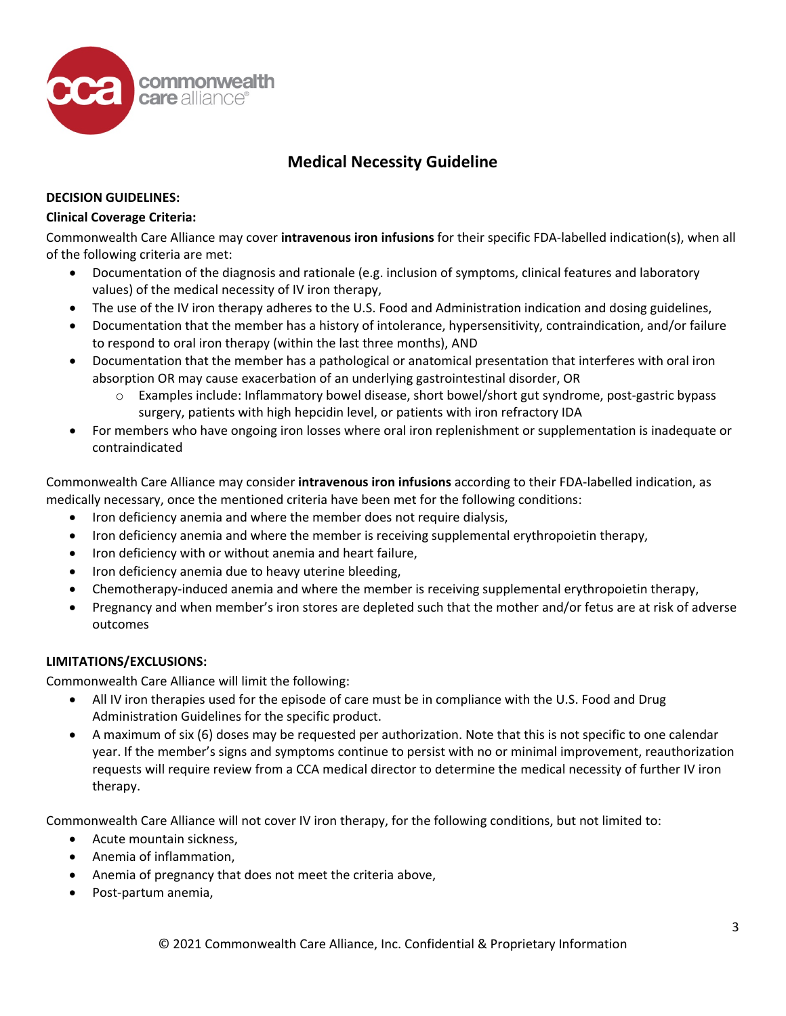

#### **DECISION GUIDELINES:**

#### **Clinical Coverage Criteria:**

Commonwealth Care Alliance may cover **intravenous iron infusions** for their specific FDA-labelled indication(s), when all of the following criteria are met:

- Documentation of the diagnosis and rationale (e.g. inclusion of symptoms, clinical features and laboratory values) of the medical necessity of IV iron therapy,
- The use of the IV iron therapy adheres to the U.S. Food and Administration indication and dosing guidelines,
- Documentation that the member has a history of intolerance, hypersensitivity, contraindication, and/or failure to respond to oral iron therapy (within the last three months), AND
- Documentation that the member has a pathological or anatomical presentation that interferes with oral iron absorption OR may cause exacerbation of an underlying gastrointestinal disorder, OR
	- o Examples include: Inflammatory bowel disease, short bowel/short gut syndrome, post-gastric bypass surgery, patients with high hepcidin level, or patients with iron refractory IDA
- For members who have ongoing iron losses where oral iron replenishment or supplementation is inadequate or contraindicated

Commonwealth Care Alliance may consider **intravenous iron infusions** according to their FDA-labelled indication, as medically necessary, once the mentioned criteria have been met for the following conditions:

- Iron deficiency anemia and where the member does not require dialysis,
- Iron deficiency anemia and where the member is receiving supplemental erythropoietin therapy,
- Iron deficiency with or without anemia and heart failure,
- Iron deficiency anemia due to heavy uterine bleeding,
- Chemotherapy-induced anemia and where the member is receiving supplemental erythropoietin therapy,
- Pregnancy and when member's iron stores are depleted such that the mother and/or fetus are at risk of adverse outcomes

### **LIMITATIONS/EXCLUSIONS:**

Commonwealth Care Alliance will limit the following:

- All IV iron therapies used for the episode of care must be in compliance with the U.S. Food and Drug Administration Guidelines for the specific product.
- A maximum of six (6) doses may be requested per authorization. Note that this is not specific to one calendar year. If the member's signs and symptoms continue to persist with no or minimal improvement, reauthorization requests will require review from a CCA medical director to determine the medical necessity of further IV iron therapy.

Commonwealth Care Alliance will not cover IV iron therapy, for the following conditions, but not limited to:

- Acute mountain sickness,
- Anemia of inflammation,
- Anemia of pregnancy that does not meet the criteria above,
- Post-partum anemia,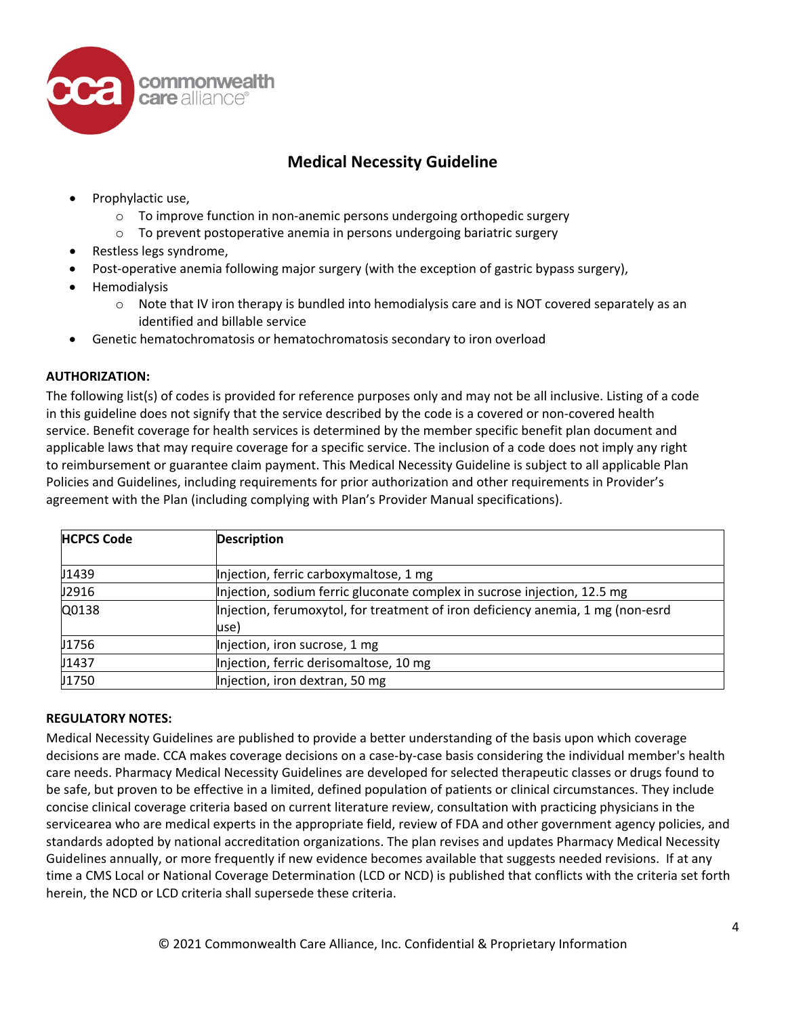

- Prophylactic use,
	- $\circ$  To improve function in non-anemic persons undergoing orthopedic surgery
	- o To prevent postoperative anemia in persons undergoing bariatric surgery
- Restless legs syndrome,
- Post-operative anemia following major surgery (with the exception of gastric bypass surgery),
- Hemodialysis
	- $\circ$  Note that IV iron therapy is bundled into hemodialysis care and is NOT covered separately as an identified and billable service
- Genetic hematochromatosis or hematochromatosis secondary to iron overload

### **AUTHORIZATION:**

The following list(s) of codes is provided for reference purposes only and may not be all inclusive. Listing of a code in this guideline does not signify that the service described by the code is a covered or non-covered health service. Benefit coverage for health services is determined by the member specific benefit plan document and applicable laws that may require coverage for a specific service. The inclusion of a code does not imply any right to reimbursement or guarantee claim payment. This Medical Necessity Guideline is subject to all applicable Plan Policies and Guidelines, including requirements for prior authorization and other requirements in Provider's agreement with the Plan (including complying with Plan's Provider Manual specifications).

| <b>HCPCS Code</b> | <b>Description</b>                                                                      |
|-------------------|-----------------------------------------------------------------------------------------|
| J1439             | Injection, ferric carboxymaltose, 1 mg                                                  |
| J2916             | Injection, sodium ferric gluconate complex in sucrose injection, 12.5 mg                |
| Q0138             | Injection, ferumoxytol, for treatment of iron deficiency anemia, 1 mg (non-esrd<br>use) |
| U1756             | Injection, iron sucrose, 1 mg                                                           |
| J1437             | Injection, ferric derisomaltose, 10 mg                                                  |
| J1750             | Injection, iron dextran, 50 mg                                                          |

### **REGULATORY NOTES:**

Medical Necessity Guidelines are published to provide a better understanding of the basis upon which coverage decisions are made. CCA makes coverage decisions on a case-by-case basis considering the individual member's health care needs. Pharmacy Medical Necessity Guidelines are developed for selected therapeutic classes or drugs found to be safe, but proven to be effective in a limited, defined population of patients or clinical circumstances. They include concise clinical coverage criteria based on current literature review, consultation with practicing physicians in the servicearea who are medical experts in the appropriate field, review of FDA and other government agency policies, and standards adopted by national accreditation organizations. The plan revises and updates Pharmacy Medical Necessity Guidelines annually, or more frequently if new evidence becomes available that suggests needed revisions. If at any time a CMS Local or National Coverage Determination (LCD or NCD) is published that conflicts with the criteria set forth herein, the NCD or LCD criteria shall supersede these criteria.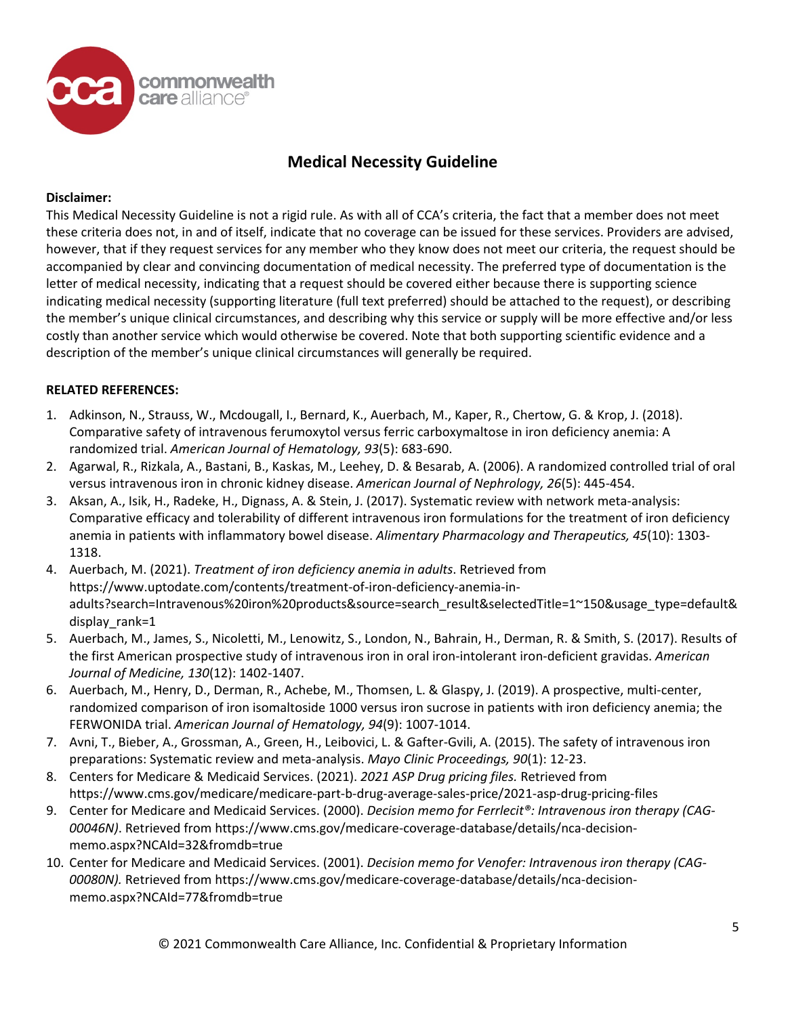

#### **Disclaimer:**

This Medical Necessity Guideline is not a rigid rule. As with all of CCA's criteria, the fact that a member does not meet these criteria does not, in and of itself, indicate that no coverage can be issued for these services. Providers are advised, however, that if they request services for any member who they know does not meet our criteria, the request should be accompanied by clear and convincing documentation of medical necessity. The preferred type of documentation is the letter of medical necessity, indicating that a request should be covered either because there is supporting science indicating medical necessity (supporting literature (full text preferred) should be attached to the request), or describing the member's unique clinical circumstances, and describing why this service or supply will be more effective and/or less costly than another service which would otherwise be covered. Note that both supporting scientific evidence and a description of the member's unique clinical circumstances will generally be required.

#### **RELATED REFERENCES:**

- 1. Adkinson, N., Strauss, W., Mcdougall, I., Bernard, K., Auerbach, M., Kaper, R., Chertow, G. & Krop, J. (2018). Comparative safety of intravenous ferumoxytol versus ferric carboxymaltose in iron deficiency anemia: A randomized trial. *American Journal of Hematology, 93*(5): 683-690.
- 2. Agarwal, R., Rizkala, A., Bastani, B., Kaskas, M., Leehey, D. & Besarab, A. (2006). A randomized controlled trial of oral versus intravenous iron in chronic kidney disease. *American Journal of Nephrology, 26*(5): 445-454.
- 3. Aksan, A., Isik, H., Radeke, H., Dignass, A. & Stein, J. (2017). Systematic review with network meta-analysis: Comparative efficacy and tolerability of different intravenous iron formulations for the treatment of iron deficiency anemia in patients with inflammatory bowel disease. *Alimentary Pharmacology and Therapeutics, 45*(10): 1303- 1318.
- 4. Auerbach, M. (2021). *Treatment of iron deficiency anemia in adults*. Retrieved from https://www.uptodate.com/contents/treatment-of-iron-deficiency-anemia-inadults?search=Intravenous%20iron%20products&source=search\_result&selectedTitle=1~150&usage\_type=default& display rank=1
- 5. Auerbach, M., James, S., Nicoletti, M., Lenowitz, S., London, N., Bahrain, H., Derman, R. & Smith, S. (2017). Results of the first American prospective study of intravenous iron in oral iron-intolerant iron-deficient gravidas. *American Journal of Medicine, 130*(12): 1402-1407.
- 6. Auerbach, M., Henry, D., Derman, R., Achebe, M., Thomsen, L. & Glaspy, J. (2019). A prospective, multi-center, randomized comparison of iron isomaltoside 1000 versus iron sucrose in patients with iron deficiency anemia; the FERWONIDA trial. *American Journal of Hematology, 94*(9): 1007-1014.
- 7. Avni, T., Bieber, A., Grossman, A., Green, H., Leibovici, L. & Gafter-Gvili, A. (2015). The safety of intravenous iron preparations: Systematic review and meta-analysis. *Mayo Clinic Proceedings, 90*(1): 12-23.
- 8. Centers for Medicare & Medicaid Services. (2021). *2021 ASP Drug pricing files.* Retrieved from https://www.cms.gov/medicare/medicare-part-b-drug-average-sales-price/2021-asp-drug-pricing-files
- 9. Center for Medicare and Medicaid Services. (2000). *Decision memo for Ferrlecit®: Intravenous iron therapy (CAG-00046N)*. Retrieved from https://www.cms.gov/medicare-coverage-database/details/nca-decisionmemo.aspx?NCAId=32&fromdb=true
- 10. Center for Medicare and Medicaid Services. (2001). *Decision memo for Venofer: Intravenous iron therapy (CAG-00080N).* Retrieved from https://www.cms.gov/medicare-coverage-database/details/nca-decisionmemo.aspx?NCAId=77&fromdb=true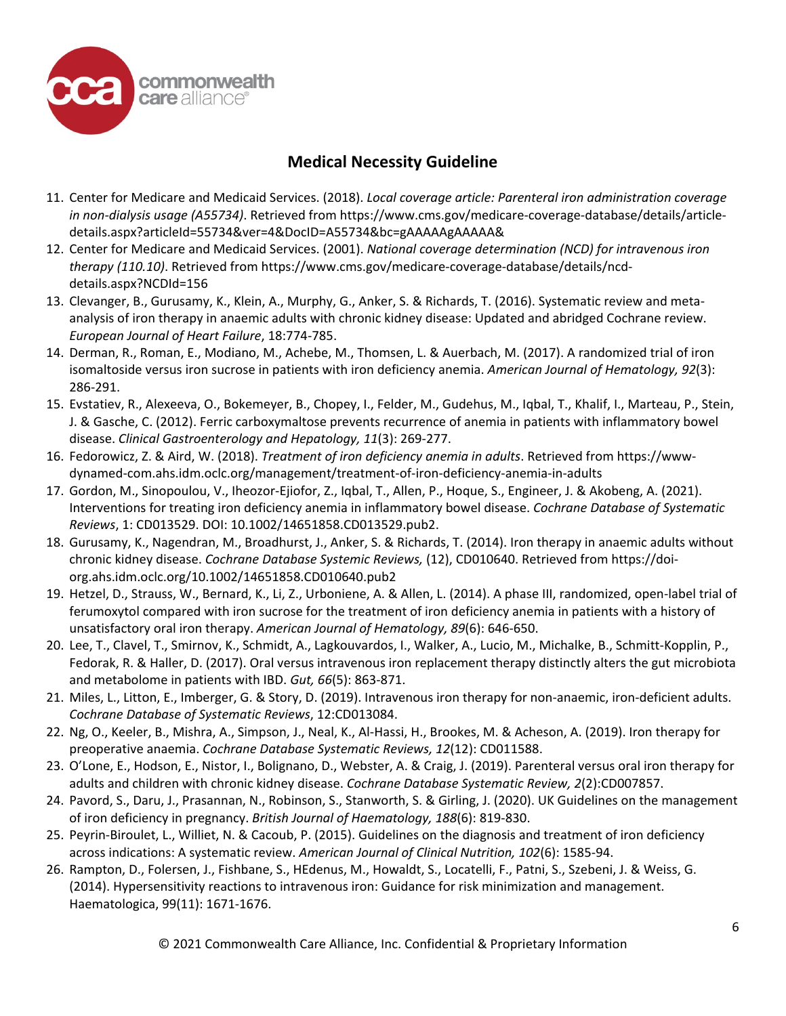

- 11. Center for Medicare and Medicaid Services. (2018). *Local coverage article: Parenteral iron administration coverage in non-dialysis usage (A55734)*. Retrieved from https://www.cms.gov/medicare-coverage-database/details/articledetails.aspx?articleId=55734&ver=4&DocID=A55734&bc=gAAAAAgAAAAA&
- 12. Center for Medicare and Medicaid Services. (2001). *National coverage determination (NCD) for intravenous iron therapy (110.10)*. Retrieved from https://www.cms.gov/medicare-coverage-database/details/ncddetails.aspx?NCDId=156
- 13. Clevanger, B., Gurusamy, K., Klein, A., Murphy, G., Anker, S. & Richards, T. (2016). Systematic review and metaanalysis of iron therapy in anaemic adults with chronic kidney disease: Updated and abridged Cochrane review. *European Journal of Heart Failure*, 18:774-785.
- 14. Derman, R., Roman, E., Modiano, M., Achebe, M., Thomsen, L. & Auerbach, M. (2017). A randomized trial of iron isomaltoside versus iron sucrose in patients with iron deficiency anemia. *American Journal of Hematology, 92*(3): 286-291.
- 15. Evstatiev, R., Alexeeva, O., Bokemeyer, B., Chopey, I., Felder, M., Gudehus, M., Iqbal, T., Khalif, I., Marteau, P., Stein, J. & Gasche, C. (2012). Ferric carboxymaltose prevents recurrence of anemia in patients with inflammatory bowel disease. *Clinical Gastroenterology and Hepatology, 11*(3): 269-277.
- 16. Fedorowicz, Z. & Aird, W. (2018). *Treatment of iron deficiency anemia in adults*. Retrieved from https://wwwdynamed-com.ahs.idm.oclc.org/management/treatment-of-iron-deficiency-anemia-in-adults
- 17. Gordon, M., Sinopoulou, V., Iheozor-Ejiofor, Z., Iqbal, T., Allen, P., Hoque, S., Engineer, J. & Akobeng, A. (2021). Interventions for treating iron deficiency anemia in inflammatory bowel disease. *Cochrane Database of Systematic Reviews*, 1: CD013529. DOI: 10.1002/14651858.CD013529.pub2.
- 18. Gurusamy, K., Nagendran, M., Broadhurst, J., Anker, S. & Richards, T. (2014). Iron therapy in anaemic adults without chronic kidney disease. *Cochrane Database Systemic Reviews,* (12), CD010640. Retrieved from https://doiorg.ahs.idm.oclc.org/10.1002/14651858.CD010640.pub2
- 19. Hetzel, D., Strauss, W., Bernard, K., Li, Z., Urboniene, A. & Allen, L. (2014). A phase III, randomized, open-label trial of ferumoxytol compared with iron sucrose for the treatment of iron deficiency anemia in patients with a history of unsatisfactory oral iron therapy. *American Journal of Hematology, 89*(6): 646-650.
- 20. Lee, T., Clavel, T., Smirnov, K., Schmidt, A., Lagkouvardos, I., Walker, A., Lucio, M., Michalke, B., Schmitt-Kopplin, P., Fedorak, R. & Haller, D. (2017). Oral versus intravenous iron replacement therapy distinctly alters the gut microbiota and metabolome in patients with IBD. *Gut, 66*(5): 863-871.
- 21. Miles, L., Litton, E., Imberger, G. & Story, D. (2019). Intravenous iron therapy for non-anaemic, iron-deficient adults. *Cochrane Database of Systematic Reviews*, 12:CD013084.
- 22. Ng, O., Keeler, B., Mishra, A., Simpson, J., Neal, K., Al-Hassi, H., Brookes, M. & Acheson, A. (2019). Iron therapy for preoperative anaemia. *Cochrane Database Systematic Reviews, 12*(12): CD011588.
- 23. O'Lone, E., Hodson, E., Nistor, I., Bolignano, D., Webster, A. & Craig, J. (2019). Parenteral versus oral iron therapy for adults and children with chronic kidney disease. *Cochrane Database Systematic Review, 2*(2):CD007857.
- 24. Pavord, S., Daru, J., Prasannan, N., Robinson, S., Stanworth, S. & Girling, J. (2020). UK Guidelines on the management of iron deficiency in pregnancy. *British Journal of Haematology, 188*(6): 819-830.
- 25. Peyrin-Biroulet, L., Williet, N. & Cacoub, P. (2015). Guidelines on the diagnosis and treatment of iron deficiency across indications: A systematic review. *American Journal of Clinical Nutrition, 102*(6): 1585-94.
- 26. Rampton, D., Folersen, J., Fishbane, S., HEdenus, M., Howaldt, S., Locatelli, F., Patni, S., Szebeni, J. & Weiss, G. (2014). Hypersensitivity reactions to intravenous iron: Guidance for risk minimization and management. Haematologica, 99(11): 1671-1676.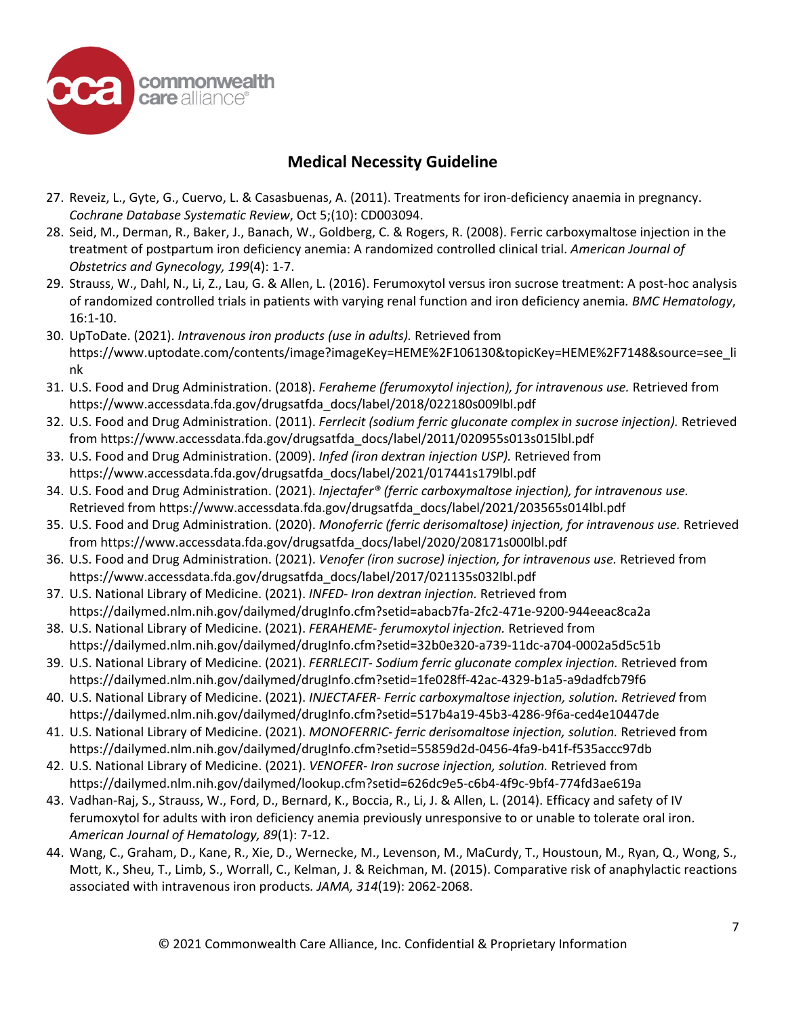

- 27. Reveiz, L., Gyte, G., Cuervo, L. & Casasbuenas, A. (2011). Treatments for iron-deficiency anaemia in pregnancy. *Cochrane Database Systematic Review*, Oct 5;(10): CD003094.
- 28. Seid, M., Derman, R., Baker, J., Banach, W., Goldberg, C. & Rogers, R. (2008). Ferric carboxymaltose injection in the treatment of postpartum iron deficiency anemia: A randomized controlled clinical trial. *American Journal of Obstetrics and Gynecology, 199*(4): 1-7.
- 29. Strauss, W., Dahl, N., Li, Z., Lau, G. & Allen, L. (2016). Ferumoxytol versus iron sucrose treatment: A post-hoc analysis of randomized controlled trials in patients with varying renal function and iron deficiency anemia*. BMC Hematology*, 16:1-10.
- 30. UpToDate. (2021). *Intravenous iron products (use in adults).* Retrieved from https://www.uptodate.com/contents/image?imageKey=HEME%2F106130&topicKey=HEME%2F7148&source=see\_li nk
- 31. U.S. Food and Drug Administration. (2018). *Feraheme (ferumoxytol injection), for intravenous use.* Retrieved from https://www.accessdata.fda.gov/drugsatfda\_docs/label/2018/022180s009lbl.pdf
- 32. U.S. Food and Drug Administration. (2011). *Ferrlecit (sodium ferric gluconate complex in sucrose injection).* Retrieved from https://www.accessdata.fda.gov/drugsatfda\_docs/label/2011/020955s013s015lbl.pdf
- 33. U.S. Food and Drug Administration. (2009). *Infed (iron dextran injection USP).* Retrieved from https://www.accessdata.fda.gov/drugsatfda\_docs/label/2021/017441s179lbl.pdf
- 34. U.S. Food and Drug Administration. (2021). *Injectafer® (ferric carboxymaltose injection), for intravenous use.* Retrieved from https://www.accessdata.fda.gov/drugsatfda\_docs/label/2021/203565s014lbl.pdf
- 35. U.S. Food and Drug Administration. (2020). *Monoferric (ferric derisomaltose) injection, for intravenous use.* Retrieved from https://www.accessdata.fda.gov/drugsatfda\_docs/label/2020/208171s000lbl.pdf
- 36. U.S. Food and Drug Administration. (2021). *Venofer (iron sucrose) injection, for intravenous use.* Retrieved from https://www.accessdata.fda.gov/drugsatfda\_docs/label/2017/021135s032lbl.pdf
- 37. U.S. National Library of Medicine. (2021). *INFED- Iron dextran injection.* Retrieved from https://dailymed.nlm.nih.gov/dailymed/drugInfo.cfm?setid=abacb7fa-2fc2-471e-9200-944eeac8ca2a
- 38. U.S. National Library of Medicine. (2021). *FERAHEME- ferumoxytol injection.* Retrieved from https://dailymed.nlm.nih.gov/dailymed/drugInfo.cfm?setid=32b0e320-a739-11dc-a704-0002a5d5c51b
- 39. U.S. National Library of Medicine. (2021). *FERRLECIT- Sodium ferric gluconate complex injection.* Retrieved from https://dailymed.nlm.nih.gov/dailymed/drugInfo.cfm?setid=1fe028ff-42ac-4329-b1a5-a9dadfcb79f6
- 40. U.S. National Library of Medicine. (2021). *INJECTAFER- Ferric carboxymaltose injection, solution. Retrieved* from https://dailymed.nlm.nih.gov/dailymed/drugInfo.cfm?setid=517b4a19-45b3-4286-9f6a-ced4e10447de
- 41. U.S. National Library of Medicine. (2021). *MONOFERRIC- ferric derisomaltose injection, solution.* Retrieved from https://dailymed.nlm.nih.gov/dailymed/drugInfo.cfm?setid=55859d2d-0456-4fa9-b41f-f535accc97db
- 42. U.S. National Library of Medicine. (2021). *VENOFER- Iron sucrose injection, solution.* Retrieved from https://dailymed.nlm.nih.gov/dailymed/lookup.cfm?setid=626dc9e5-c6b4-4f9c-9bf4-774fd3ae619a
- 43. Vadhan-Raj, S., Strauss, W., Ford, D., Bernard, K., Boccia, R., Li, J. & Allen, L. (2014). Efficacy and safety of IV ferumoxytol for adults with iron deficiency anemia previously unresponsive to or unable to tolerate oral iron. *American Journal of Hematology, 89*(1): 7-12.
- 44. Wang, C., Graham, D., Kane, R., Xie, D., Wernecke, M., Levenson, M., MaCurdy, T., Houstoun, M., Ryan, Q., Wong, S., Mott, K., Sheu, T., Limb, S., Worrall, C., Kelman, J. & Reichman, M. (2015). Comparative risk of anaphylactic reactions associated with intravenous iron products*. JAMA, 314*(19): 2062-2068.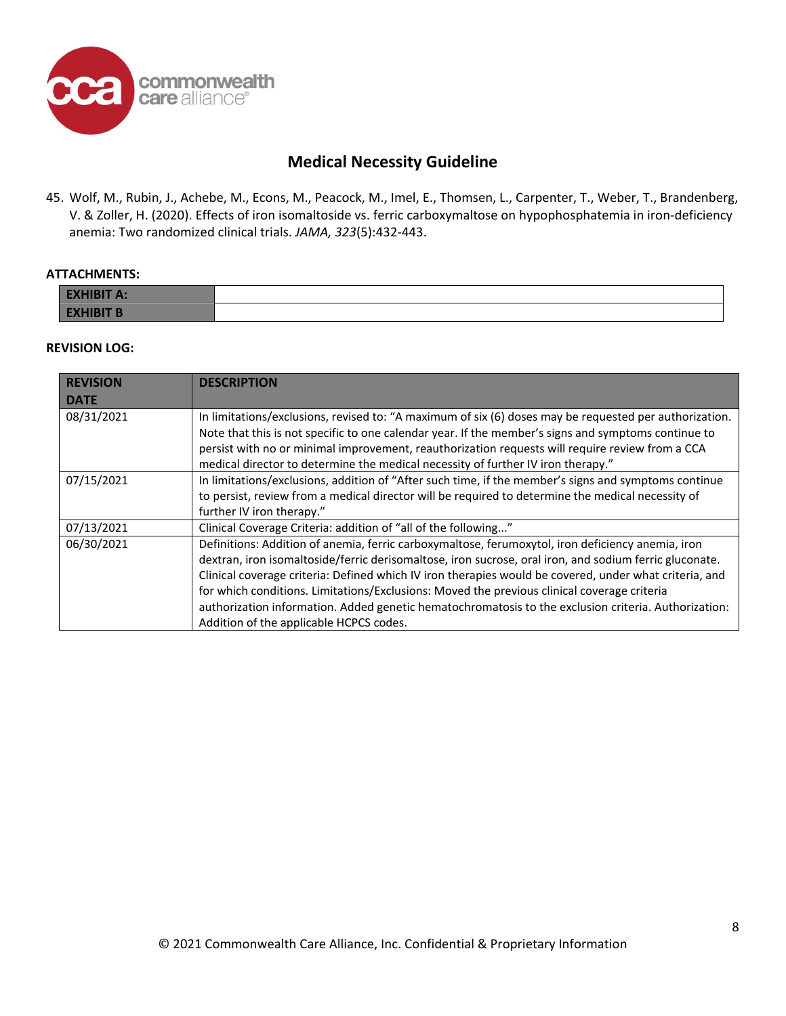

45. Wolf, M., Rubin, J., Achebe, M., Econs, M., Peacock, M., Imel, E., Thomsen, L., Carpenter, T., Weber, T., Brandenberg, V. & Zoller, H. (2020). Effects of iron isomaltoside vs. ferric carboxymaltose on hypophosphatemia in iron-deficiency anemia: Two randomized clinical trials. *JAMA, 323*(5):432-443.

#### **ATTACHMENTS:**

| <b>EXHIBIT A:</b>       |  |
|-------------------------|--|
| <b>EXHIBIT B</b><br>EVI |  |

#### **REVISION LOG:**

| <b>REVISION</b> | <b>DESCRIPTION</b>                                                                                     |  |
|-----------------|--------------------------------------------------------------------------------------------------------|--|
| <b>DATE</b>     |                                                                                                        |  |
| 08/31/2021      | In limitations/exclusions, revised to: "A maximum of six (6) doses may be requested per authorization. |  |
|                 | Note that this is not specific to one calendar year. If the member's signs and symptoms continue to    |  |
|                 | persist with no or minimal improvement, reauthorization requests will require review from a CCA        |  |
|                 | medical director to determine the medical necessity of further IV iron therapy."                       |  |
| 07/15/2021      | In limitations/exclusions, addition of "After such time, if the member's signs and symptoms continue   |  |
|                 | to persist, review from a medical director will be required to determine the medical necessity of      |  |
|                 | further IV iron therapy."                                                                              |  |
| 07/13/2021      | Clinical Coverage Criteria: addition of "all of the following"                                         |  |
| 06/30/2021      | Definitions: Addition of anemia, ferric carboxymaltose, ferumoxytol, iron deficiency anemia, iron      |  |
|                 | dextran, iron isomaltoside/ferric derisomaltose, iron sucrose, oral iron, and sodium ferric gluconate. |  |
|                 | Clinical coverage criteria: Defined which IV iron therapies would be covered, under what criteria, and |  |
|                 | for which conditions. Limitations/Exclusions: Moved the previous clinical coverage criteria            |  |
|                 | authorization information. Added genetic hematochromatosis to the exclusion criteria. Authorization:   |  |
|                 | Addition of the applicable HCPCS codes.                                                                |  |